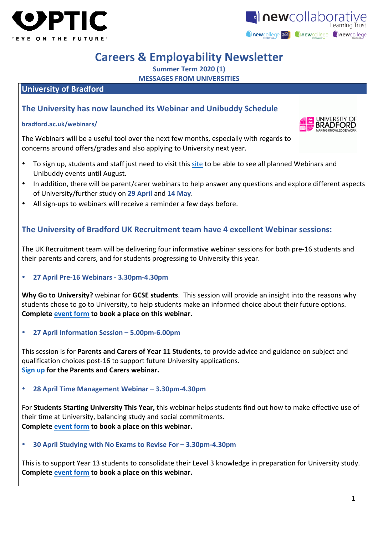



### **Careers & Employability Newsletter**

**Summer Term 2020 (1)**

**MESSAGES FROM UNIVERSITIES** 

#### **University of Bradford**

#### **The University has now launched its Webinar and Unibuddy Schedule**

#### **bradford.ac.uk/webinars/**

The Webinars will be a useful tool over the next few months, especially with regards to concerns around offers/grades and also applying to University next year.

- To sign up, students and staff just need to visit this site to be able to see all planned Webinars and Unibuddy events until August.
- In addition, there will be parent/carer webinars to help answer any questions and explore different aspects of University/further study on 29 April and 14 May.
- All sign-ups to webinars will receive a reminder a few days before.

#### **The University of Bradford UK Recruitment team have 4 excellent Webinar sessions:**

The UK Recruitment team will be delivering four informative webinar sessions for both pre-16 students and their parents and carers, and for students progressing to University this year.

• **27 April Pre-16 Webinars - 3.30pm-4.30pm**

**Why Go to University?** webinar for **GCSE students**. This session will provide an insight into the reasons why students chose to go to University, to help students make an informed choice about their future options. **Complete event form to book a place on this webinar.** 

• **27 April Information Session – 5.00pm-6.00pm**

This session is for **Parents and Carers of Year 11 Students**, to provide advice and guidance on subject and qualification choices post-16 to support future University applications. **Sign up for the Parents and Carers webinar.** 

#### • **28 April Time Management Webinar – 3.30pm-4.30pm**

For **Students Starting University This Year,** this webinar helps students find out how to make effective use of their time at University, balancing study and social commitments. **Complete event** form to book a place on this webinar.

• **30 April Studying with No Exams to Revise For – 3.30pm-4.30pm**

This is to support Year 13 students to consolidate their Level 3 knowledge in preparation for University study. **Complete event** form to book a place on this webinar.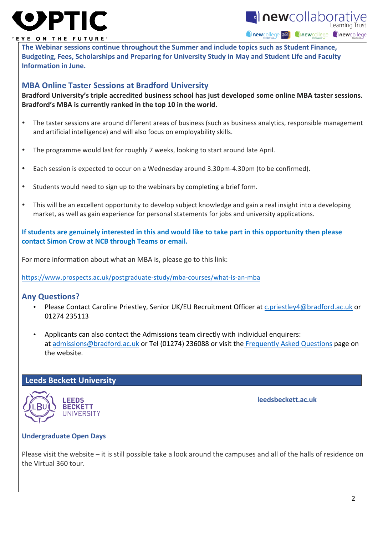# OPTI



#### EYE ON THE FUTURE'

**The Webinar sessions continue throughout the Summer and include topics such as Student Finance,** Budgeting, Fees, Scholarships and Preparing for University Study in May and Student Life and Faculty **Information in June.** 

#### **MBA Online Taster Sessions at Bradford University**

Bradford University's triple accredited business school has just developed some online MBA taster sessions. Bradford's MBA is currently ranked in the top 10 in the world.

- The taster sessions are around different areas of business (such as business analytics, responsible management and artificial intelligence) and will also focus on employability skills.
- The programme would last for roughly 7 weeks, looking to start around late April.
- Each session is expected to occur on a Wednesday around 3.30pm-4.30pm (to be confirmed).
- Students would need to sign up to the webinars by completing a brief form.
- This will be an excellent opportunity to develop subject knowledge and gain a real insight into a developing market, as well as gain experience for personal statements for jobs and university applications.

**If students are genuinely interested in this and would like to take part in this opportunity then please contact Simon Crow at NCB through Teams or email.** 

For more information about what an MBA is, please go to this link:

https://www.prospects.ac.uk/postgraduate-study/mba-courses/what-is-an-mba

#### **Any Questions?**

- Please Contact Caroline Priestley, Senior UK/EU Recruitment Officer at c.priestley4@bradford.ac.uk or 01274 235113
- Applicants can also contact the Admissions team directly with individual enquirers: at admissions@bradford.ac.uk or Tel (01274) 236088 or visit the Frequently Asked Questions page on the website.

#### **Leeds Beckett University**



**deedsbeckett.ac.uk** 

#### **Undergraduate Open Days**

Please visit the website  $-$  it is still possible take a look around the campuses and all of the halls of residence on the Virtual 360 tour.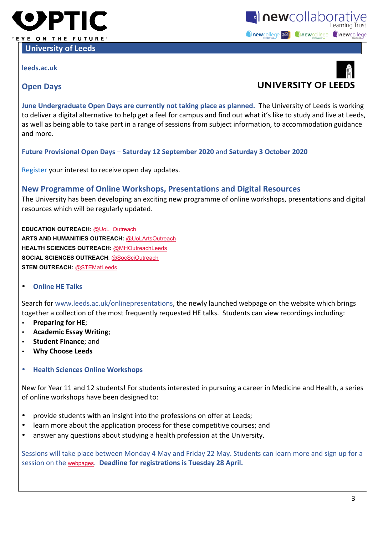

**University of Leeds** 

**leeds.ac.uk**





#### **Open Days**

**June Undergraduate Open Days are currently not taking place as planned.** The University of Leeds is working to deliver a digital alternative to help get a feel for campus and find out what it's like to study and live at Leeds, as well as being able to take part in a range of sessions from subject information, to accommodation guidance and more.

**Future Provisional Open Days** – **Saturday 12 September 2020** and **Saturday 3 October 2020**

Register your interest to receive open day updates.

#### **New Programme of Online Workshops, Presentations and Digital Resources**

The University has been developing an exciting new programme of online workshops, presentations and digital resources which will be regularly updated.

**EDUCATION OUTREACH:** @UoL\_Outreach **ARTS AND HUMANITIES OUTREACH:** @UoLArtsOutreach **HEALTH SCIENCES OUTREACH:** @MHOutreachLeeds **SOCIAL SCIENCES OUTREACH**: @SocSciOutreach **STEM OUTREACH:** @STEMatLeeds

• **Online HE Talks**

Search for www.leeds.ac.uk/onlinepresentations, the newly launched webpage on the website which brings together a collection of the most frequently requested HE talks. Students can view recordings including:

- **Preparing for HE;**
- **Academic Essay Writing**;
- **Student Finance**; and
- **Why Choose Leeds**
- **Health Sciences Online Workshops**

New for Year 11 and 12 students! For students interested in pursuing a career in Medicine and Health, a series of online workshops have been designed to:

- provide students with an insight into the professions on offer at Leeds;
- learn more about the application process for these competitive courses; and
- answer any questions about studying a health profession at the University.

Sessions will take place between Monday 4 May and Friday 22 May. Students can learn more and sign up for a session on the webpages. Deadline for registrations is Tuesday 28 April.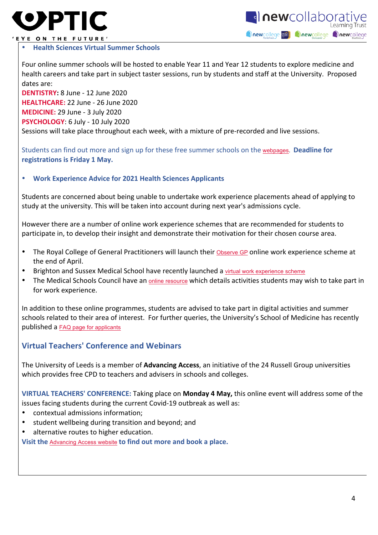



#### 'EYE ON THE FUTURE'

#### • **Health Sciences Virtual Summer Schools**

Four online summer schools will be hosted to enable Year 11 and Year 12 students to explore medicine and health careers and take part in subject taster sessions, run by students and staff at the University. Proposed dates are:

**DENTISTRY:** 8 June - 12 June 2020 **HEALTHCARE:** 22 June - 26 June 2020 **MEDICINE:** 29 June - 3 July 2020 **PSYCHOLOGY:** 6 July - 10 July 2020 Sessions will take place throughout each week, with a mixture of pre-recorded and live sessions.

Students can find out more and sign up for these free summer schools on the webpages. **Deadline for registrations is Friday 1 May.** 

#### **Work Experience Advice for 2021 Health Sciences Applicants**

Students are concerned about being unable to undertake work experience placements ahead of applying to study at the university. This will be taken into account during next year's admissions cycle.

However there are a number of online work experience schemes that are recommended for students to participate in, to develop their insight and demonstrate their motivation for their chosen course area.

- The Royal College of General Practitioners will launch their Observe GP online work experience scheme at the end of April.
- Brighton and Sussex Medical School have recently launched a virtual work experience scheme
- The Medical Schools Council have an online resource which details activities students may wish to take part in for work experience.

In addition to these online programmes, students are advised to take part in digital activities and summer schools related to their area of interest. For further queries, the University's School of Medicine has recently published a FAQ page for applicants

#### **Virtual Teachers' Conference and Webinars**

The University of Leeds is a member of **Advancing Access**, an initiative of the 24 Russell Group universities which provides free CPD to teachers and advisers in schools and colleges.

**VIRTUAL TEACHERS' CONFERENCE:** Taking place on **Monday 4 May,** this online event will address some of the issues facing students during the current Covid-19 outbreak as well as:

- contextual admissions information;
- student wellbeing during transition and beyond; and
- alternative routes to higher education.

**Visit the Advancing Access website to find out more and book a place.**